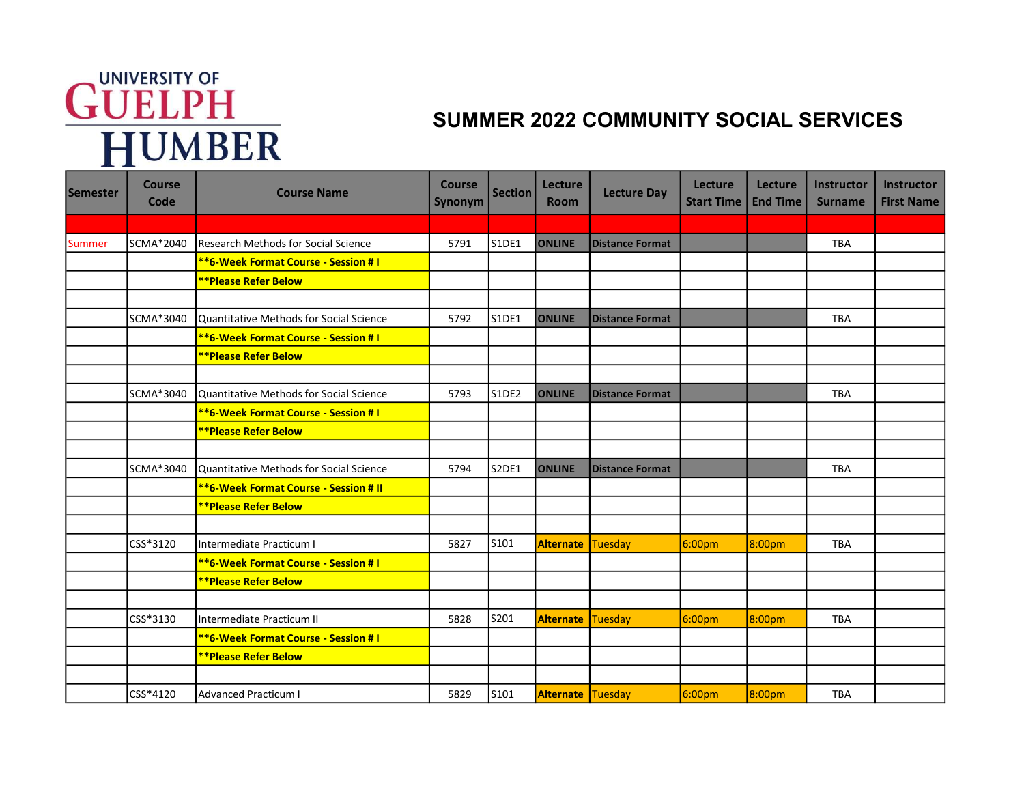## **GUELPH**<br>HUMBER

## SUMMER 2022 COMMUNITY SOCIAL SERVICES

| <b>Semester</b> | <b>Course</b><br>Code | <b>Course Name</b>                              | <b>Course</b><br>Synonym | <b>Section</b> | Lecture<br><b>Room</b>   | <b>Lecture Day</b>     | Lecture<br><b>Start Time</b> | Lecture<br><b>End Time</b> | Instructor<br><b>Surname</b> | Instructor<br><b>First Name</b> |
|-----------------|-----------------------|-------------------------------------------------|--------------------------|----------------|--------------------------|------------------------|------------------------------|----------------------------|------------------------------|---------------------------------|
|                 |                       |                                                 |                          |                |                          |                        |                              |                            |                              |                                 |
| Summer          | SCMA*2040             | Research Methods for Social Science             | 5791                     | <b>S1DE1</b>   | <b>ONLINE</b>            | Distance Format        |                              |                            | <b>TBA</b>                   |                                 |
|                 |                       | <b>**6-Week Format Course - Session #1</b>      |                          |                |                          |                        |                              |                            |                              |                                 |
|                 |                       | <b>**Please Refer Below</b>                     |                          |                |                          |                        |                              |                            |                              |                                 |
|                 |                       |                                                 |                          |                |                          |                        |                              |                            |                              |                                 |
|                 | SCMA*3040             | Quantitative Methods for Social Science         | 5792                     | S1DE1          | <b>ONLINE</b>            | <b>Distance Format</b> |                              |                            | <b>TBA</b>                   |                                 |
|                 |                       | <b>**6-Week Format Course - Session #1</b>      |                          |                |                          |                        |                              |                            |                              |                                 |
|                 |                       | <b>**Please Refer Below</b>                     |                          |                |                          |                        |                              |                            |                              |                                 |
|                 |                       |                                                 |                          |                |                          |                        |                              |                            |                              |                                 |
|                 | SCMA*3040             | Quantitative Methods for Social Science         | 5793                     | S1DE2          | <b>ONLINE</b>            | Distance Format        |                              |                            | <b>TBA</b>                   |                                 |
|                 |                       | **6-Week Format Course - Session # I            |                          |                |                          |                        |                              |                            |                              |                                 |
|                 |                       | <b>**Please Refer Below</b>                     |                          |                |                          |                        |                              |                            |                              |                                 |
|                 |                       |                                                 |                          |                |                          |                        |                              |                            |                              |                                 |
|                 | SCMA*3040             | <b>IQuantitative Methods for Social Science</b> | 5794                     | S2DE1          | <b>ONLINE</b>            | <b>Distance Format</b> |                              |                            | <b>TBA</b>                   |                                 |
|                 |                       | **6-Week Format Course - Session # II           |                          |                |                          |                        |                              |                            |                              |                                 |
|                 |                       | <b>**Please Refer Below</b>                     |                          |                |                          |                        |                              |                            |                              |                                 |
|                 |                       |                                                 |                          |                |                          |                        |                              |                            |                              |                                 |
|                 | CSS*3120              | Intermediate Practicum I                        | 5827                     | S101           | <b>Alternate</b>         | <b>Tuesday</b>         | 6:00pm                       | 8:00pm                     | <b>TBA</b>                   |                                 |
|                 |                       | <b>**6-Week Format Course - Session # I</b>     |                          |                |                          |                        |                              |                            |                              |                                 |
|                 |                       | <b>**Please Refer Below</b>                     |                          |                |                          |                        |                              |                            |                              |                                 |
|                 |                       |                                                 |                          |                |                          |                        |                              |                            |                              |                                 |
|                 | CSS*3130              | Intermediate Practicum II                       | 5828                     | S201           | <b>Alternate</b>         | Tuesday                | 6:00 <sub>pm</sub>           | 8:00 <sub>pm</sub>         | <b>TBA</b>                   |                                 |
|                 |                       | <b>**6-Week Format Course - Session #1</b>      |                          |                |                          |                        |                              |                            |                              |                                 |
|                 |                       | <b>**Please Refer Below</b>                     |                          |                |                          |                        |                              |                            |                              |                                 |
|                 |                       |                                                 |                          |                |                          |                        |                              |                            |                              |                                 |
|                 | CSS*4120              | <b>Advanced Practicum I</b>                     | 5829                     | S101           | <b>Alternate Tuesday</b> |                        | 6:00 <sub>pm</sub>           | 8:00pm                     | <b>TBA</b>                   |                                 |